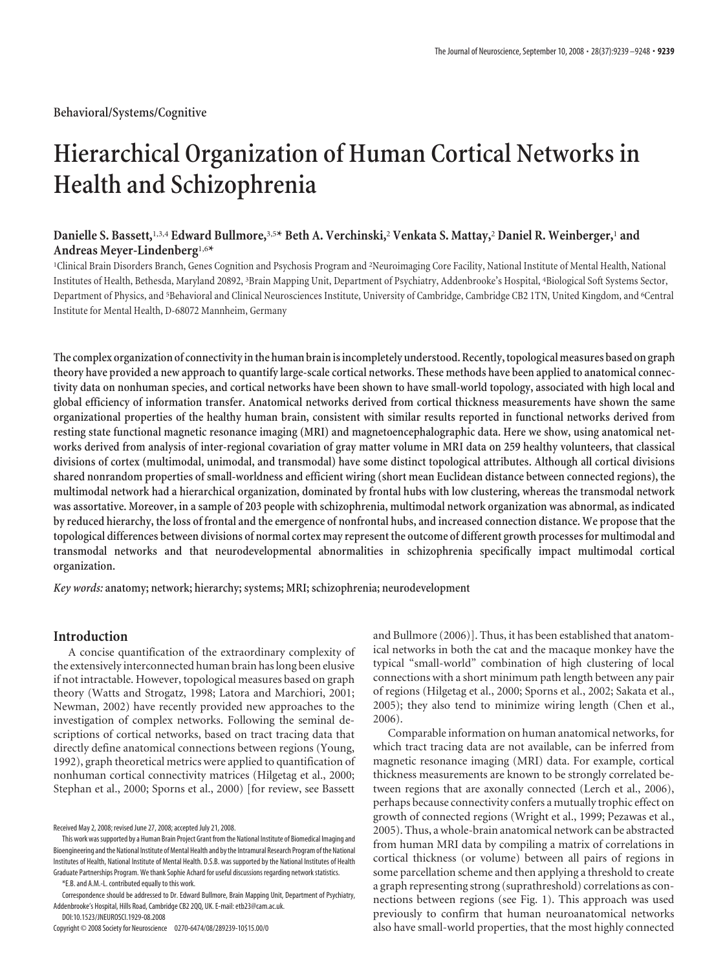# **Hierarchical Organization of Human Cortical Networks in Health and Schizophrenia**

# **Danielle S. Bassett,**1,3,4 **Edward Bullmore,**3,5**\* Beth A. Verchinski,**<sup>2</sup> **Venkata S. Mattay,**<sup>2</sup> **Daniel R. Weinberger,**<sup>1</sup> **and Andreas Meyer-Lindenberg**1,6**\***

1 Clinical Brain Disorders Branch, Genes Cognition and Psychosis Program and <sup>2</sup> Neuroimaging Core Facility, National Institute of Mental Health, National Institutes of Health, Bethesda, Maryland 20892, <sup>3</sup> Brain Mapping Unit, Department of Psychiatry, Addenbrooke's Hospital, <sup>4</sup> Biological Soft Systems Sector, Department of Physics, and <sup>5</sup> Behavioral and Clinical Neurosciences Institute, University of Cambridge, Cambridge CB2 1TN, United Kingdom, and <sup>6</sup> Central Institute for Mental Health, D-68072 Mannheim, Germany

**The complex organization of connectivity inthe human brain is incompletely understood. Recently,topological measures based on graph theory have provided a new approach to quantify large-scale cortical networks. These methods have been applied to anatomical connectivity data on nonhuman species, and cortical networks have been shown to have small-world topology, associated with high local and global efficiency of information transfer. Anatomical networks derived from cortical thickness measurements have shown the same organizational properties of the healthy human brain, consistent with similar results reported in functional networks derived from resting state functional magnetic resonance imaging (MRI) and magnetoencephalographic data. Here we show, using anatomical networks derived from analysis of inter-regional covariation of gray matter volume in MRI data on 259 healthy volunteers, that classical divisions of cortex (multimodal, unimodal, and transmodal) have some distinct topological attributes. Although all cortical divisions shared nonrandom properties of small-worldness and efficient wiring (short mean Euclidean distance between connected regions), the multimodal network had a hierarchical organization, dominated by frontal hubs with low clustering, whereas the transmodal network was assortative. Moreover, in a sample of 203 people with schizophrenia, multimodal network organization was abnormal, as indicated by reduced hierarchy, the loss of frontal and the emergence of nonfrontal hubs, and increased connection distance. We propose that the topological differences between divisions of normal cortex may represent the outcome of different growth processes for multimodal and transmodal networks and that neurodevelopmental abnormalities in schizophrenia specifically impact multimodal cortical organization.**

*Key words:* **anatomy; network; hierarchy; systems; MRI; schizophrenia; neurodevelopment**

## **Introduction**

A concise quantification of the extraordinary complexity of the extensively interconnected human brain has long been elusive if not intractable. However, topological measures based on graph theory (Watts and Strogatz, 1998; Latora and Marchiori, 2001; Newman, 2002) have recently provided new approaches to the investigation of complex networks. Following the seminal descriptions of cortical networks, based on tract tracing data that directly define anatomical connections between regions (Young, 1992), graph theoretical metrics were applied to quantification of nonhuman cortical connectivity matrices (Hilgetag et al., 2000; Stephan et al., 2000; Sporns et al., 2000) [for review, see Bassett

\*E.B. and A.M.-L. contributed equally to this work.

DOI:10.1523/JNEUROSCI.1929-08.2008

Copyright © 2008 Society for Neuroscience 0270-6474/08/289239-10\$15.00/0

and Bullmore (2006)]. Thus, it has been established that anatomical networks in both the cat and the macaque monkey have the typical "small-world" combination of high clustering of local connections with a short minimum path length between any pair of regions (Hilgetag et al., 2000; Sporns et al., 2002; Sakata et al., 2005); they also tend to minimize wiring length (Chen et al., 2006).

Comparable information on human anatomical networks, for which tract tracing data are not available, can be inferred from magnetic resonance imaging (MRI) data. For example, cortical thickness measurements are known to be strongly correlated between regions that are axonally connected (Lerch et al., 2006), perhaps because connectivity confers a mutually trophic effect on growth of connected regions (Wright et al., 1999; Pezawas et al., 2005). Thus, a whole-brain anatomical network can be abstracted from human MRI data by compiling a matrix of correlations in cortical thickness (or volume) between all pairs of regions in some parcellation scheme and then applying a threshold to create a graph representing strong (suprathreshold) correlations as connections between regions (see Fig. 1). This approach was used previously to confirm that human neuroanatomical networks also have small-world properties, that the most highly connected

Received May 2, 2008; revised June 27, 2008; accepted July 21, 2008.

This work wassupported by a Human Brain Project Grant from the National Institute of Biomedical Imaging and Bioengineering and the National Institute of Mental Health and by the Intramural Research Program of the National Institutes of Health, National Institute of Mental Health. D.S.B. was supported by the National Institutes of Health Graduate Partnerships Program. We thank Sophie Achard for useful discussions regarding network statistics.

Correspondence should be addressed to Dr. Edward Bullmore, Brain Mapping Unit, Department of Psychiatry, Addenbrooke's Hospital, Hills Road, Cambridge CB2 2QQ, UK. E-mail: etb23@cam.ac.uk.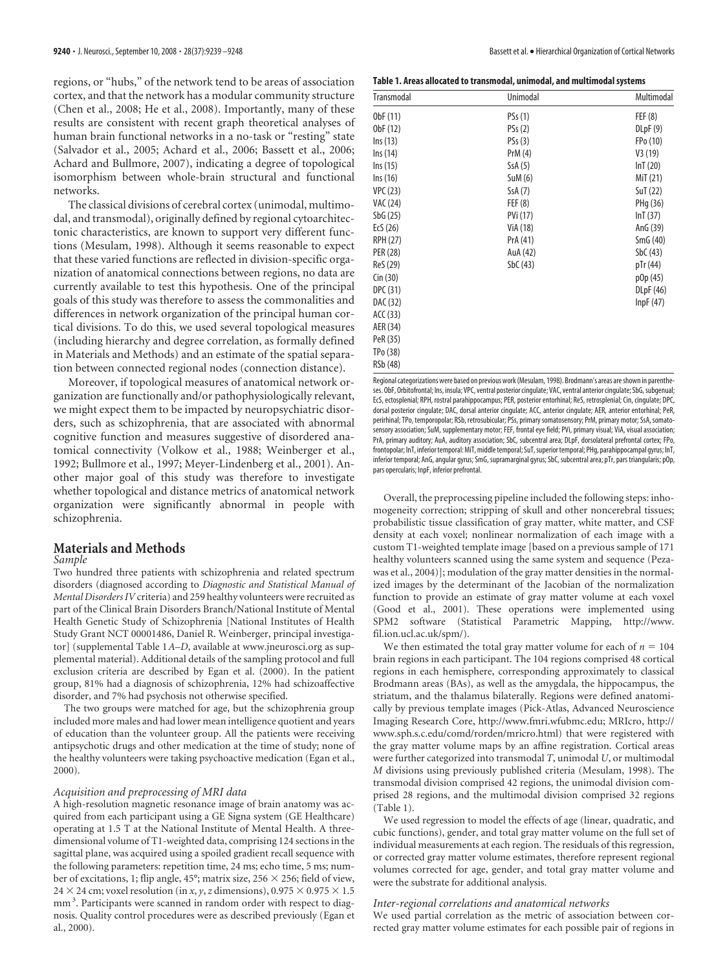regions, or "hubs," of the network tend to be areas of association cortex, and that the network has a modular community structure (Chen et al., 2008; He et al., 2008). Importantly, many of these results are consistent with recent graph theoretical analyses of human brain functional networks in a no-task or "resting" state (Salvador et al., 2005; Achard et al., 2006; Bassett et al., 2006; Achard and Bullmore, 2007), indicating a degree of topological isomorphism between whole-brain structural and functional networks.

The classical divisions of cerebral cortex (unimodal, multimodal, and transmodal), originally defined by regional cytoarchitectonic characteristics, are known to support very different functions (Mesulam, 1998). Although it seems reasonable to expect that these varied functions are reflected in division-specific organization of anatomical connections between regions, no data are currently available to test this hypothesis. One of the principal goals of this study was therefore to assess the commonalities and differences in network organization of the principal human cortical divisions. To do this, we used several topological measures (including hierarchy and degree correlation, as formally defined in Materials and Methods) and an estimate of the spatial separation between connected regional nodes (connection distance).

Moreover, if topological measures of anatomical network organization are functionally and/or pathophysiologically relevant, we might expect them to be impacted by neuropsychiatric disorders, such as schizophrenia, that are associated with abnormal cognitive function and measures suggestive of disordered anatomical connectivity (Volkow et al., 1988; Weinberger et al., 1992; Bullmore et al., 1997; Meyer-Lindenberg et al., 2001). Another major goal of this study was therefore to investigate whether topological and distance metrics of anatomical network organization were significantly abnormal in people with schizophrenia.

# **Materials and Methods**

## *Sample*

Two hundred three patients with schizophrenia and related spectrum disorders (diagnosed according to *Diagnostic and Statistical Manual of Mental Disorders IV*criteria) and 259 healthy volunteers were recruited as part of the Clinical Brain Disorders Branch/National Institute of Mental Health Genetic Study of Schizophrenia [National Institutes of Health Study Grant NCT 00001486, Daniel R. Weinberger, principal investigator] (supplemental Table 1*A–D*, available at www.jneurosci.org as supplemental material). Additional details of the sampling protocol and full exclusion criteria are described by Egan et al. (2000). In the patient group, 81% had a diagnosis of schizophrenia, 12% had schizoaffective disorder, and 7% had psychosis not otherwise specified.

The two groups were matched for age, but the schizophrenia group included more males and had lower mean intelligence quotient and years of education than the volunteer group. All the patients were receiving antipsychotic drugs and other medication at the time of study; none of the healthy volunteers were taking psychoactive medication (Egan et al., 2000).

### *Acquisition and preprocessing of MRI data*

A high-resolution magnetic resonance image of brain anatomy was acquired from each participant using a GE Signa system (GE Healthcare) operating at 1.5 T at the National Institute of Mental Health. A threedimensional volume of T1-weighted data, comprising 124 sections in the sagittal plane, was acquired using a spoiled gradient recall sequence with the following parameters: repetition time, 24 ms; echo time, 5 ms; number of excitations, 1; flip angle, 45°; matrix size, 256  $\times$  256; field of view, 24  $\times$  24 cm; voxel resolution (in *x*, *y*, *z* dimensions), 0.975  $\times$  0.975  $\times$  1.5 mm<sup>3</sup>. Participants were scanned in random order with respect to diagnosis. Quality control procedures were as described previously (Egan et al., 2000).

|  | Table 1. Areas allocated to transmodal, unimodal, and multimodal systems |
|--|--------------------------------------------------------------------------|
|--|--------------------------------------------------------------------------|

| Transmodal      | Unimodal | Multimodal |
|-----------------|----------|------------|
| ObF (11)        | PSs(1)   | FEF(8)     |
| ObF (12)        | PSs(2)   | D LpF(9)   |
| $\ln s(13)$     | PSs(3)   | FPo (10)   |
| Ins (14)        | PrM (4)  | V3(19)     |
| Ins (15)        | SsA(5)   | lnT(20)    |
| $\ln s(16)$     | SuM (6)  | MiT (21)   |
| <b>VPC (23)</b> | SsA(7)   | SuT (22)   |
| VAC (24)        | FEF(8)   | PHg (36)   |
| SbG(25)         | PVi (17) | lnT(37)    |
| EcS $(26)$      | ViA (18) | AnG (39)   |
| <b>RPH (27)</b> | PrA (41) | SmG(40)    |
| PER (28)        | AuA (42) | SbC(43)    |
| ReS (29)        | SbC(43)  | pTr (44)   |
| Cin (30)        |          | p0p (45)   |
| DPC (31)        |          | DLpF (46)  |
| DAC (32)        |          | InpF(47)   |
| ACC (33)        |          |            |
| AER (34)        |          |            |
| PeR (35)        |          |            |
| TPo (38)        |          |            |
| RSb (48)        |          |            |

Regional categorizations were based on previous work (Mesulam, 1998). Brodmann's areas areshown in parentheses. ObF, Orbitofrontal; Ins, insula; VPC, ventral posterior cingulate; VAC, ventral anterior cingulate; SbG, subgenual; EcS, ectosplenial; RPH, rostral parahippocampus; PER, posterior entorhinal; ReS, retrosplenial; Cin, cingulate; DPC, dorsal posterior cingulate; DAC, dorsal anterior cingulate; ACC, anterior cingulate; AER, anterior entorhinal; PeR, perirhinal; TPo, temporopolar; RSb, retrosubicular; PSs, primary somatosensory; PrM, primary motor; SsA, somatosensory association; SuM, supplementary motor; FEF, frontal eye field; PVi, primary visual; ViA, visual association; PrA, primary auditory; AuA, auditory association; SbC, subcentral area; DLpF, dorsolateral prefrontal cortex; FPo, frontopolar; InT, inferior temporal: MiT, middle temporal; SuT, superior temporal; PHq, parahippocampal gyrus; InT, inferior temporal; AnG, angular gyrus; SmG, supramarginal gyrus; SbC, subcentral area; pTr, pars triangularis; pOp, pars opercularis; InpF, inferior prefrontal.

Overall, the preprocessing pipeline included the following steps: inhomogeneity correction; stripping of skull and other noncerebral tissues; probabilistic tissue classification of gray matter, white matter, and CSF density at each voxel; nonlinear normalization of each image with a custom T1-weighted template image [based on a previous sample of 171 healthy volunteers scanned using the same system and sequence (Pezawas et al., 2004)]; modulation of the gray matter densities in the normalized images by the determinant of the Jacobian of the normalization function to provide an estimate of gray matter volume at each voxel (Good et al., 2001). These operations were implemented using SPM2 software (Statistical Parametric Mapping, http://www. fil.ion.ucl.ac.uk/spm/).

We then estimated the total gray matter volume for each of  $n = 104$ brain regions in each participant. The 104 regions comprised 48 cortical regions in each hemisphere, corresponding approximately to classical Brodmann areas (BAs), as well as the amygdala, the hippocampus, the striatum, and the thalamus bilaterally. Regions were defined anatomically by previous template images (Pick-Atlas, Advanced Neuroscience Imaging Research Core, http://www.fmri.wfubmc.edu; MRIcro, http:// www.sph.s.c.edu/comd/rorden/mricro.html) that were registered with the gray matter volume maps by an affine registration. Cortical areas were further categorized into transmodal *T*, unimodal *U*, or multimodal *M* divisions using previously published criteria (Mesulam, 1998). The transmodal division comprised 42 regions, the unimodal division comprised 28 regions, and the multimodal division comprised 32 regions (Table 1).

We used regression to model the effects of age (linear, quadratic, and cubic functions), gender, and total gray matter volume on the full set of individual measurements at each region. The residuals of this regression, or corrected gray matter volume estimates, therefore represent regional volumes corrected for age, gender, and total gray matter volume and were the substrate for additional analysis.

#### *Inter-regional correlations and anatomical networks*

We used partial correlation as the metric of association between corrected gray matter volume estimates for each possible pair of regions in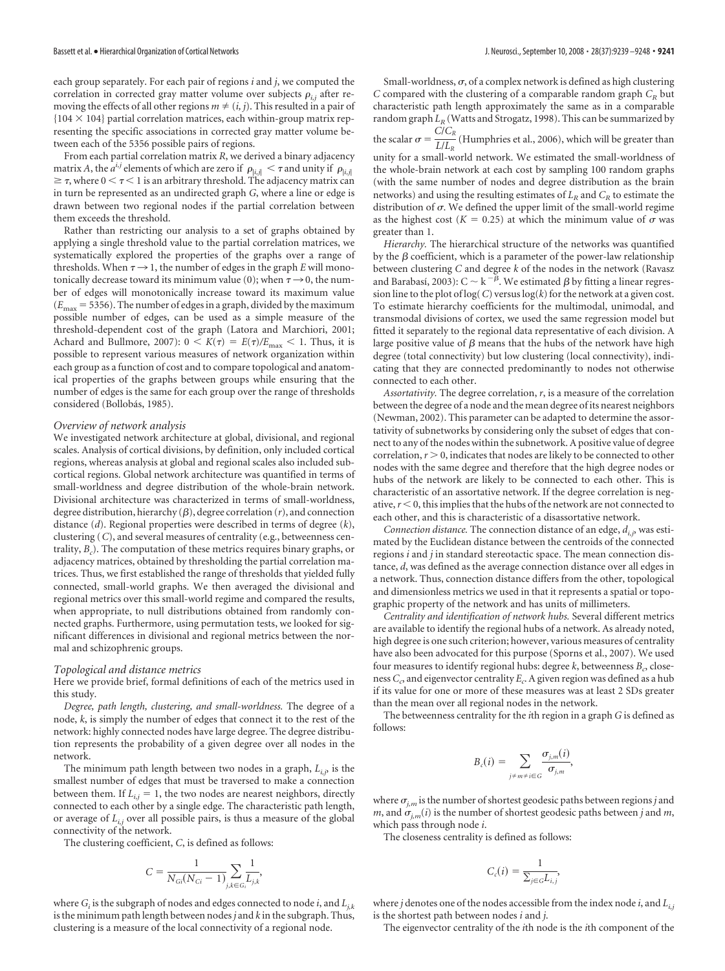each group separately. For each pair of regions *i* and *j*, we computed the correlation in corrected gray matter volume over subjects  $\rho_{i,j}$  after removing the effects of all other regions  $m \neq (i, j)$ . This resulted in a pair of  ${104 \times 104}$  partial correlation matrices, each within-group matrix representing the specific associations in corrected gray matter volume between each of the 5356 possible pairs of regions.

From each partial correlation matrix *R*, we derived a binary adjacency matrix *A*, the  $a^{i,j}$  elements of which are zero if  $\rho_{|i,j|} < \tau$  and unity if  $\rho_{|i,j|}$  $\geq \tau$ , where  $0 < \tau < 1$  is an arbitrary threshold. The adjacency matrix can in turn be represented as an undirected graph *G*, where a line or edge is drawn between two regional nodes if the partial correlation between them exceeds the threshold.

Rather than restricting our analysis to a set of graphs obtained by applying a single threshold value to the partial correlation matrices, we systematically explored the properties of the graphs over a range of thresholds. When  $\tau \rightarrow 1$ , the number of edges in the graph *E* will monotonically decrease toward its minimum value (0); when  $\tau \rightarrow 0$ , the number of edges will monotonically increase toward its maximum value  $(E_{\text{max}} = 5356)$ . The number of edges in a graph, divided by the maximum possible number of edges, can be used as a simple measure of the threshold-dependent cost of the graph (Latora and Marchiori, 2001; Achard and Bullmore, 2007):  $0 < K(\tau) = E(\tau)/E_{\text{max}} < 1$ . Thus, it is possible to represent various measures of network organization within each group as a function of cost and to compare topological and anatomical properties of the graphs between groups while ensuring that the number of edges is the same for each group over the range of thresholds considered (Bollobás, 1985).

#### *Overview of network analysis*

We investigated network architecture at global, divisional, and regional scales. Analysis of cortical divisions, by definition, only included cortical regions, whereas analysis at global and regional scales also included subcortical regions. Global network architecture was quantified in terms of small-worldness and degree distribution of the whole-brain network. Divisional architecture was characterized in terms of small-worldness, degree distribution, hierarchy  $(\beta)$ , degree correlation  $(r)$ , and connection distance (*d*). Regional properties were described in terms of degree (*k*), clustering (*C*), and several measures of centrality (e.g., betweenness centrality, *Bc* ). The computation of these metrics requires binary graphs, or adjacency matrices, obtained by thresholding the partial correlation matrices. Thus, we first established the range of thresholds that yielded fully connected, small-world graphs. We then averaged the divisional and regional metrics over this small-world regime and compared the results, when appropriate, to null distributions obtained from randomly connected graphs. Furthermore, using permutation tests, we looked for significant differences in divisional and regional metrics between the normal and schizophrenic groups.

#### *Topological and distance metrics*

Here we provide brief, formal definitions of each of the metrics used in this study.

*Degree, path length, clustering, and small-worldness.* The degree of a node, *k*, is simply the number of edges that connect it to the rest of the network: highly connected nodes have large degree. The degree distribution represents the probability of a given degree over all nodes in the network.

The minimum path length between two nodes in a graph,  $L_{i,j}$ , is the smallest number of edges that must be traversed to make a connection between them. If  $L_{i,j} = 1$ , the two nodes are nearest neighbors, directly connected to each other by a single edge. The characteristic path length, or average of *Li,j* over all possible pairs, is thus a measure of the global connectivity of the network.

The clustering coefficient, *C*, is defined as follows:

$$
C = \frac{1}{N_{Gi}(N_{Ci} - 1)} \sum_{j,k \in G_i} \frac{1}{L_{j,k}},
$$

where  $G_i$  is the subgraph of nodes and edges connected to node  $i$ , and  $L_{i,k}$ is the minimum path length between nodes*j* and *k* in the subgraph. Thus, clustering is a measure of the local connectivity of a regional node.

Small-worldness,  $\sigma$ , of a complex network is defined as high clustering *C* compared with the clustering of a comparable random graph  $C_R$  but characteristic path length approximately the same as in a comparable random graph  $L_R$  (Watts and Strogatz, 1998). This can be summarized by the scalar  $\sigma = \frac{C/C_R}{L/L}$  $\frac{1}{L/L_R}$  (Humphries et al., 2006), which will be greater than unity for a small-world network. We estimated the small-worldness of the whole-brain network at each cost by sampling 100 random graphs (with the same number of nodes and degree distribution as the brain networks) and using the resulting estimates of  $L_R$  and  $C_R$  to estimate the distribution of  $\sigma$ . We defined the upper limit of the small-world regime as the highest cost ( $K = 0.25$ ) at which the minimum value of  $\sigma$  was greater than 1.

*Hierarchy.* The hierarchical structure of the networks was quantified by the  $\beta$  coefficient, which is a parameter of the power-law relationship between clustering *C* and degree *k* of the nodes in the network (Ravasz and Barabasí, 2003):  $C \sim k^{-\beta}$ . We estimated  $\beta$  by fitting a linear regression line to the plot of log(*C*) versus log(*k*) for the network at a given cost. To estimate hierarchy coefficients for the multimodal, unimodal, and transmodal divisions of cortex, we used the same regression model but fitted it separately to the regional data representative of each division. A large positive value of  $\beta$  means that the hubs of the network have high degree (total connectivity) but low clustering (local connectivity), indicating that they are connected predominantly to nodes not otherwise connected to each other.

*Assortativity.* The degree correlation, *r*, is a measure of the correlation between the degree of a node and the mean degree of its nearest neighbors (Newman, 2002). This parameter can be adapted to determine the assortativity of subnetworks by considering only the subset of edges that connect to any of the nodes within the subnetwork. A positive value of degree correlation,  $r > 0$ , indicates that nodes are likely to be connected to other nodes with the same degree and therefore that the high degree nodes or hubs of the network are likely to be connected to each other. This is characteristic of an assortative network. If the degree correlation is negative,  $r < 0$ , this implies that the hubs of the network are not connected to each other, and this is characteristic of a disassortative network.

*Connection distance.* The connection distance of an edge,  $d_{i,j}$ , was estimated by the Euclidean distance between the centroids of the connected regions *i* and *j* in standard stereotactic space. The mean connection distance, *d*, was defined as the average connection distance over all edges in a network. Thus, connection distance differs from the other, topological and dimensionless metrics we used in that it represents a spatial or topographic property of the network and has units of millimeters.

*Centrality and identification of network hubs.* Several different metrics are available to identify the regional hubs of a network. As already noted, high degree is one such criterion; however, various measures of centrality have also been advocated for this purpose (Sporns et al., 2007). We used four measures to identify regional hubs: degree  $k$ , betweenness  $B_{c}$ , closeness  $C_c$ , and eigenvector centrality  $E_c$ . A given region was defined as a hub if its value for one or more of these measures was at least 2 SDs greater than the mean over all regional nodes in the network.

The betweenness centrality for the *i*th region in a graph *G* is defined as follows:

$$
B_c(i) = \sum_{j \neq m \neq i \in G} \frac{\sigma_{j,m}(i)}{\sigma_{j,m}},
$$

where  $\sigma_{i,m}$  is the number of shortest geodesic paths between regions *j* and *m*, and  $\sigma$ <sub>*im*</sub>(*i*) is the number of shortest geodesic paths between *j* and *m*, which pass through node *i*.

The closeness centrality is defined as follows:

$$
C_c(i) = \frac{1}{\sum_{j \in G} L_{i,j}},
$$

where *j* denotes one of the nodes accessible from the index node *i*, and  $L_{i,j}$ is the shortest path between nodes *i* and *j*.

The eigenvector centrality of the *i*th node is the *i*th component of the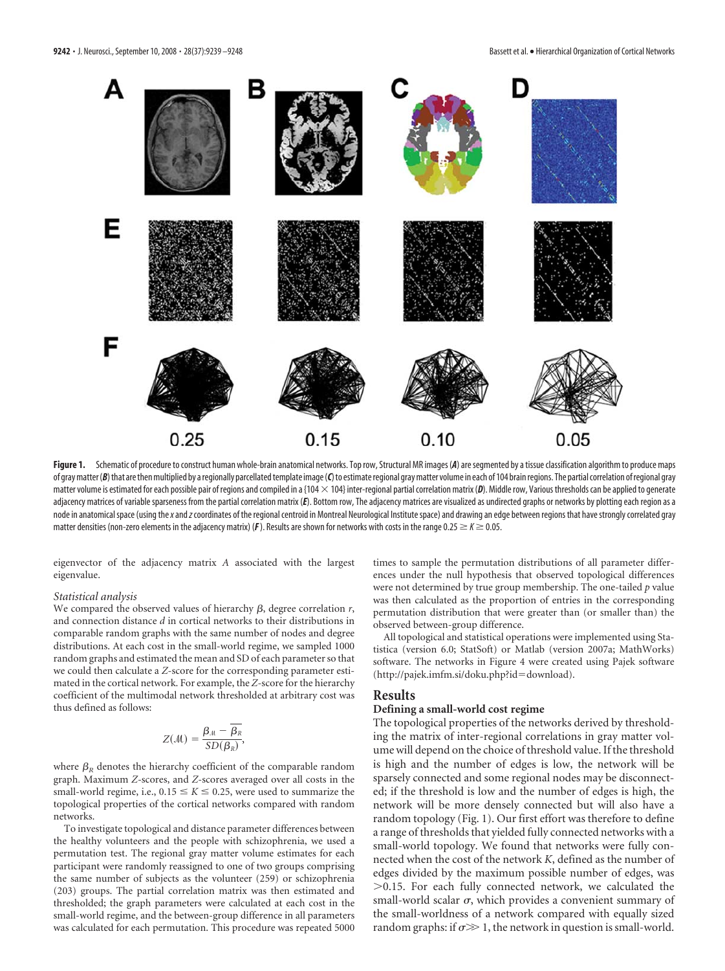

Figure 1. Schematic of procedure to construct human whole-brain anatomical networks. Top row, Structural MR images (A) are segmented by a tissue classification algorithm to produce maps of gray matter (B) that are then multiplied by a regionally parcellated template image (C) to estimate regional gray matter volume in each of 104 brain regions. The partial correlation of regional gray matter volume is estimated for each possible pair of regions and compiled in a {104  $\times$  104} inter-regional partial correlation matrix (*D*). Middle row, Various thresholds can be applied to generate adjacency matrices of variable sparseness from the partial correlation matrix (*E*). Bottom row, The adjacency matrices are visualized as undirected graphs or networks by plotting each region as a node in anatomical space (using the*x*and*z*coordinates of the regional centroid in Montreal Neurological Institute space) and drawing an edge between regions that have strongly correlated gray matter densities (non-zero elements in the adjacency matrix) ( $F$ ). Results are shown for networks with costs in the range 0.25  $\geq K \geq 0.05$ .

eigenvector of the adjacency matrix *A* associated with the largest eigenvalue.

## *Statistical analysis*

We compared the observed values of hierarchy  $\beta$ , degree correlation  $r$ , and connection distance *d* in cortical networks to their distributions in comparable random graphs with the same number of nodes and degree distributions. At each cost in the small-world regime, we sampled 1000 random graphs and estimated the mean and SD of each parameter so that we could then calculate a *Z*-score for the corresponding parameter estimated in the cortical network. For example, the *Z*-score for the hierarchy coefficient of the multimodal network thresholded at arbitrary cost was thus defined as follows:

$$
Z(\mathcal{M}) = \frac{\beta_{\mathcal{M}} - \overline{\beta_{R}}}{SD(\beta_{R})},
$$

where  $\beta_{\rm p}$  denotes the hierarchy coefficient of the comparable random graph. Maximum *Z*-scores, and *Z*-scores averaged over all costs in the small-world regime, i.e.,  $0.15 \le K \le 0.25$ , were used to summarize the topological properties of the cortical networks compared with random networks.

To investigate topological and distance parameter differences between the healthy volunteers and the people with schizophrenia, we used a permutation test. The regional gray matter volume estimates for each participant were randomly reassigned to one of two groups comprising the same number of subjects as the volunteer (259) or schizophrenia (203) groups. The partial correlation matrix was then estimated and thresholded; the graph parameters were calculated at each cost in the small-world regime, and the between-group difference in all parameters was calculated for each permutation. This procedure was repeated 5000

times to sample the permutation distributions of all parameter differences under the null hypothesis that observed topological differences were not determined by true group membership. The one-tailed *p* value was then calculated as the proportion of entries in the corresponding permutation distribution that were greater than (or smaller than) the observed between-group difference.

All topological and statistical operations were implemented using Statistica (version 6.0; StatSoft) or Matlab (version 2007a; MathWorks) software. The networks in Figure 4 were created using Pajek software (http://pajek.imfm.si/doku.php?id-download).

## **Results**

# **Defining a small-world cost regime**

The topological properties of the networks derived by thresholding the matrix of inter-regional correlations in gray matter volume will depend on the choice of threshold value. If the threshold is high and the number of edges is low, the network will be sparsely connected and some regional nodes may be disconnected; if the threshold is low and the number of edges is high, the network will be more densely connected but will also have a random topology (Fig. 1). Our first effort was therefore to define a range of thresholds that yielded fully connected networks with a small-world topology. We found that networks were fully connected when the cost of the network *K*, defined as the number of edges divided by the maximum possible number of edges, was  $>0.15$ . For each fully connected network, we calculated the small-world scalar  $\sigma$ , which provides a convenient summary of the small-worldness of a network compared with equally sized random graphs: if  $\sigma \gg 1$ , the network in question is small-world.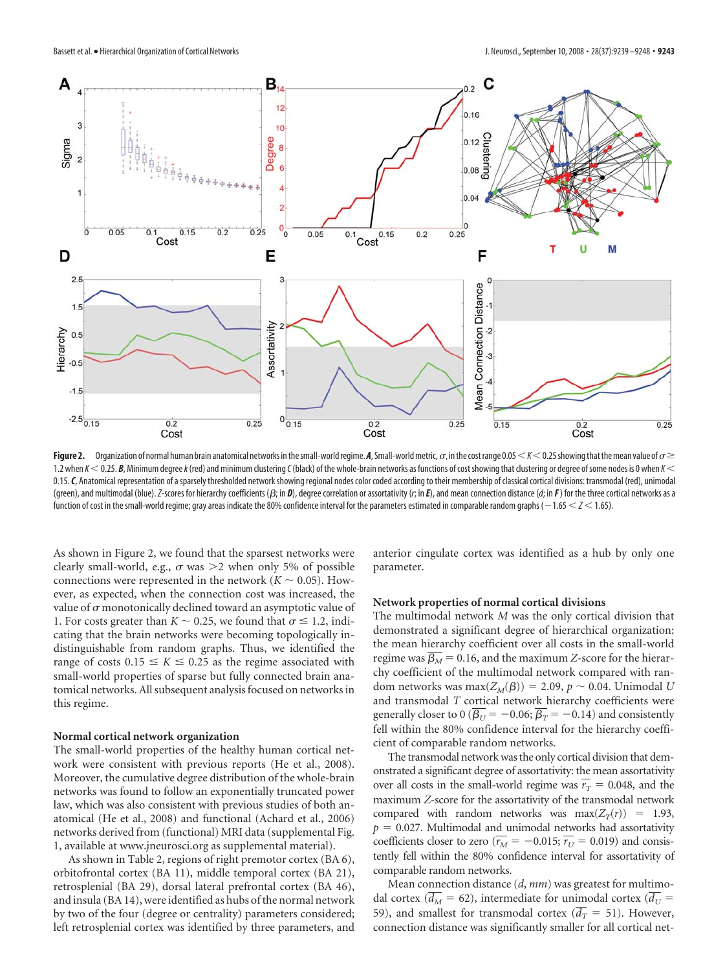

**Figure 2.** Organization of normal human brain anatomical networks in the small-world regime. A, Small-world metric,  $\sigma$ , in the cost range 0.05  $K < 0.25$  showing that the mean value of  $\sigma \geq$ 1.2 when *K* 0.25. *B*, Minimum degree*k*(red) and minimum clustering*C*(black) of the whole-brain networks as functions of costshowing that clustering or degree ofsome nodes is 0 when *K* 0.15. C, Anatomical representation of a sparsely thresholded network showing regional nodes color coded according to their membership of classical cortical divisions: transmodal (red), unimodal (green), and multimodal (blue). Z-scores for hierarchy coefficients ( $\beta$ ; in D), degree correlation or assortativity (r; in E), and mean connection distance (d; in F) for the three cortical networks as a function of cost in the small-world regime; gray areas indicate the 80% confidence interval for the parameters estimated in comparable random graphs ( $-1.65 < Z < 1.65$ ).

As shown in Figure 2, we found that the sparsest networks were clearly small-world, e.g.,  $\sigma$  was  $\geq$  when only 5% of possible connections were represented in the network ( $K \sim 0.05$ ). However, as expected, when the connection cost was increased, the value of  $\sigma$  monotonically declined toward an asymptotic value of 1. For costs greater than  $K \sim 0.25$ , we found that  $\sigma \le 1.2$ , indicating that the brain networks were becoming topologically indistinguishable from random graphs. Thus, we identified the range of costs  $0.15 \le K \le 0.25$  as the regime associated with small-world properties of sparse but fully connected brain anatomical networks. All subsequent analysis focused on networks in this regime.

## **Normal cortical network organization**

The small-world properties of the healthy human cortical network were consistent with previous reports (He et al., 2008). Moreover, the cumulative degree distribution of the whole-brain networks was found to follow an exponentially truncated power law, which was also consistent with previous studies of both anatomical (He et al., 2008) and functional (Achard et al., 2006) networks derived from (functional) MRI data (supplemental Fig. 1, available at www.jneurosci.org as supplemental material).

As shown in Table 2, regions of right premotor cortex (BA 6), orbitofrontal cortex (BA 11), middle temporal cortex (BA 21), retrosplenial (BA 29), dorsal lateral prefrontal cortex (BA 46), and insula (BA 14), were identified as hubs of the normal network by two of the four (degree or centrality) parameters considered; left retrosplenial cortex was identified by three parameters, and anterior cingulate cortex was identified as a hub by only one parameter.

## **Network properties of normal cortical divisions**

The multimodal network *M* was the only cortical division that demonstrated a significant degree of hierarchical organization: the mean hierarchy coefficient over all costs in the small-world regime was  $\beta_M = 0.16$ , and the maximum *Z*-score for the hierarchy coefficient of the multimodal network compared with random networks was  $max(Z_M(\beta)) = 2.09$ ,  $p \sim 0.04$ . Unimodal *U* and transmodal *T* cortical network hierarchy coefficients were generally closer to 0 ( $\beta_U$  =  $-$  0.06;  $\beta_T$  =  $-$  0.14) and consistently fell within the 80% confidence interval for the hierarchy coefficient of comparable random networks.

The transmodal network was the only cortical division that demonstrated a significant degree of assortativity: the mean assortativity over all costs in the small-world regime was  $r_T = 0.048$ , and the maximum *Z*-score for the assortativity of the transmodal network compared with random networks was  $max(Z_T(r)) = 1.93$ ,  $p = 0.027$ . Multimodal and unimodal networks had assortativity coefficients closer to zero ( $r_M = -0.015$ ;  $r_U = 0.019$ ) and consistently fell within the 80% confidence interval for assortativity of comparable random networks.

Mean connection distance (*d*, *mm*) was greatest for multimodal cortex ( $d_M$  = 62), intermediate for unimodal cortex ( $d_U$  = 59), and smallest for transmodal cortex  $(d_T = 51)$ . However, connection distance was significantly smaller for all cortical net-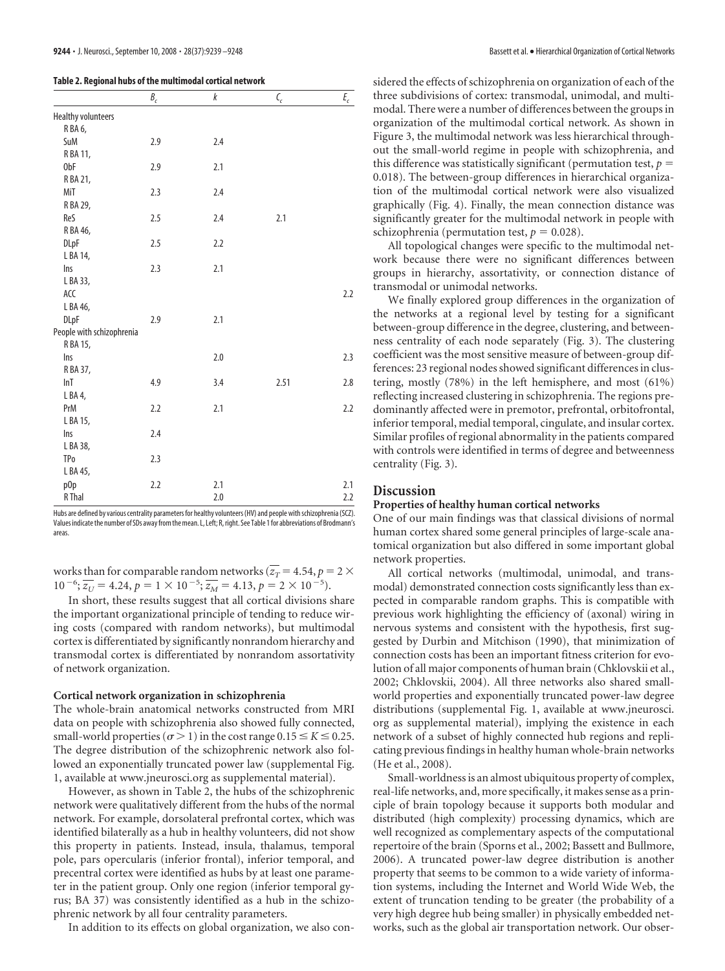|                           | $B_c$ | k   | $\mathbf{C}_c$ | $E_c$ |
|---------------------------|-------|-----|----------------|-------|
| <b>Healthy volunteers</b> |       |     |                |       |
| RBA6,                     |       |     |                |       |
| SuM                       | 2.9   | 2.4 |                |       |
| R BA 11,                  |       |     |                |       |
| 0bF                       | 2.9   | 2.1 |                |       |
| R BA 21,                  |       |     |                |       |
| MiT                       | 2.3   | 2.4 |                |       |
| R BA 29,                  |       |     |                |       |
| ReS                       | 2.5   | 2.4 | 2.1            |       |
| R BA 46,                  |       |     |                |       |
| <b>DLpF</b>               | 2.5   | 2.2 |                |       |
| L BA 14,                  |       |     |                |       |
| Ins                       | 2.3   | 2.1 |                |       |
| L BA 33,                  |       |     |                |       |
| ACC                       |       |     |                | 2.2   |
| L BA 46,                  |       |     |                |       |
| <b>DLpF</b>               | 2.9   | 2.1 |                |       |
| People with schizophrenia |       |     |                |       |
| R BA 15,                  |       |     |                |       |
| Ins                       |       | 2.0 |                | 2.3   |
| R BA 37,                  |       |     |                |       |
| lnT                       | 4.9   | 3.4 | 2.51           | 2.8   |
| L BA 4,                   |       |     |                |       |
| PrM                       | 2.2   | 2.1 |                | 2.2   |
| L BA 15,                  |       |     |                |       |
| Ins                       | 2.4   |     |                |       |
| L BA 38,                  |       |     |                |       |
| <b>TPo</b>                | 2.3   |     |                |       |
| L BA 45,                  |       |     |                |       |
| p <sub>Op</sub>           | 2.2   | 2.1 |                | 2.1   |
| R Thal                    |       | 2.0 |                | 2.2   |

Hubs are defined by various centrality parameters for healthy volunteers (HV) and people with schizophrenia (SCZ). Values indicate the number of SDs away from the mean. L, Left; R, right. See Table 1 for abbreviations of Brodmann's areas.

works than for comparable random networks ( $z_T$  = 4.54,  $p = 2 \times$  $10^{-6}$ ;  $\overline{z_U} = 4.24$ ,  $p = 1 \times 10^{-5}$ ;  $\overline{z_M} = 4.13$ ,  $p = 2 \times 10^{-5}$ ).

In short, these results suggest that all cortical divisions share the important organizational principle of tending to reduce wiring costs (compared with random networks), but multimodal cortex is differentiated by significantly nonrandom hierarchy and transmodal cortex is differentiated by nonrandom assortativity of network organization.

## **Cortical network organization in schizophrenia**

The whole-brain anatomical networks constructed from MRI data on people with schizophrenia also showed fully connected, small-world properties ( $\sigma$  > 1) in the cost range 0.15  $\le K \le 0.25$ . The degree distribution of the schizophrenic network also followed an exponentially truncated power law (supplemental Fig. 1, available at www.jneurosci.org as supplemental material).

However, as shown in Table 2, the hubs of the schizophrenic network were qualitatively different from the hubs of the normal network. For example, dorsolateral prefrontal cortex, which was identified bilaterally as a hub in healthy volunteers, did not show this property in patients. Instead, insula, thalamus, temporal pole, pars opercularis (inferior frontal), inferior temporal, and precentral cortex were identified as hubs by at least one parameter in the patient group. Only one region (inferior temporal gyrus; BA 37) was consistently identified as a hub in the schizophrenic network by all four centrality parameters.

In addition to its effects on global organization, we also con-

sidered the effects of schizophrenia on organization of each of the three subdivisions of cortex: transmodal, unimodal, and multimodal. There were a number of differences between the groups in organization of the multimodal cortical network. As shown in Figure 3, the multimodal network was less hierarchical throughout the small-world regime in people with schizophrenia, and this difference was statistically significant (permutation test,  $p =$ 0.018). The between-group differences in hierarchical organization of the multimodal cortical network were also visualized graphically (Fig. 4). Finally, the mean connection distance was significantly greater for the multimodal network in people with schizophrenia (permutation test,  $p = 0.028$ ).

All topological changes were specific to the multimodal network because there were no significant differences between groups in hierarchy, assortativity, or connection distance of transmodal or unimodal networks.

We finally explored group differences in the organization of the networks at a regional level by testing for a significant between-group difference in the degree, clustering, and betweenness centrality of each node separately (Fig. 3). The clustering coefficient was the most sensitive measure of between-group differences: 23 regional nodes showed significant differences in clustering, mostly (78%) in the left hemisphere, and most (61%) reflecting increased clustering in schizophrenia. The regions predominantly affected were in premotor, prefrontal, orbitofrontal, inferior temporal, medial temporal, cingulate, and insular cortex. Similar profiles of regional abnormality in the patients compared with controls were identified in terms of degree and betweenness centrality (Fig. 3).

## **Discussion**

## **Properties of healthy human cortical networks**

One of our main findings was that classical divisions of normal human cortex shared some general principles of large-scale anatomical organization but also differed in some important global network properties.

All cortical networks (multimodal, unimodal, and transmodal) demonstrated connection costs significantly less than expected in comparable random graphs. This is compatible with previous work highlighting the efficiency of (axonal) wiring in nervous systems and consistent with the hypothesis, first suggested by Durbin and Mitchison (1990), that minimization of connection costs has been an important fitness criterion for evolution of all major components of human brain (Chklovskii et al., 2002; Chklovskii, 2004). All three networks also shared smallworld properties and exponentially truncated power-law degree distributions (supplemental Fig. 1, available at www.jneurosci. org as supplemental material), implying the existence in each network of a subset of highly connected hub regions and replicating previous findings in healthy human whole-brain networks (He et al., 2008).

Small-worldness is an almost ubiquitous property of complex, real-life networks, and, more specifically, it makes sense as a principle of brain topology because it supports both modular and distributed (high complexity) processing dynamics, which are well recognized as complementary aspects of the computational repertoire of the brain (Sporns et al., 2002; Bassett and Bullmore, 2006). A truncated power-law degree distribution is another property that seems to be common to a wide variety of information systems, including the Internet and World Wide Web, the extent of truncation tending to be greater (the probability of a very high degree hub being smaller) in physically embedded networks, such as the global air transportation network. Our obser-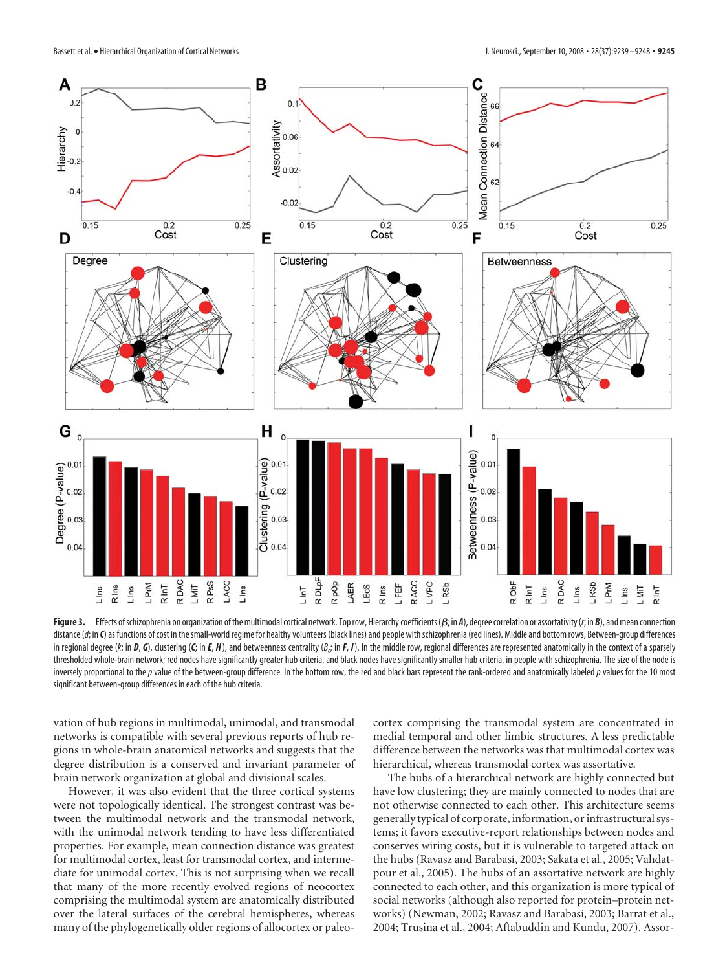

Figure 3. Effects of schizophrenia on organization of the multimodal cortical network. Top row, Hierarchy coefficients ( $\beta$ ; in *A*), degree correlation or assortativity (*r*; in *B*), and mean connection distance (d; in *C*) as functions of cost in the small-world regime for healthy volunteers (black lines) and people with schizophrenia (red lines). Middle and bottom rows, Between-group differences in regional degree (k; in **D, G**), clustering (**C**; in **E, H** ), and betweenness centrality (B<sub>c</sub>; in **F, I** ). In the middle row, regional differences are represented anatomically in the context of a sparsely thresholded whole-brain network; red nodes have significantly greater hub criteria, and black nodes have significantly smaller hub criteria, in people with schizophrenia. The size of the node is inversely proportional to the p value of the between-group difference. In the bottom row, the red and black bars represent the rank-ordered and anatomically labeled p values for the 10 most significant between-group differences in each of the hub criteria.

vation of hub regions in multimodal, unimodal, and transmodal networks is compatible with several previous reports of hub regions in whole-brain anatomical networks and suggests that the degree distribution is a conserved and invariant parameter of brain network organization at global and divisional scales.

However, it was also evident that the three cortical systems were not topologically identical. The strongest contrast was between the multimodal network and the transmodal network, with the unimodal network tending to have less differentiated properties. For example, mean connection distance was greatest for multimodal cortex, least for transmodal cortex, and intermediate for unimodal cortex. This is not surprising when we recall that many of the more recently evolved regions of neocortex comprising the multimodal system are anatomically distributed over the lateral surfaces of the cerebral hemispheres, whereas many of the phylogenetically older regions of allocortex or paleocortex comprising the transmodal system are concentrated in medial temporal and other limbic structures. A less predictable difference between the networks was that multimodal cortex was hierarchical, whereas transmodal cortex was assortative.

The hubs of a hierarchical network are highly connected but have low clustering; they are mainly connected to nodes that are not otherwise connected to each other. This architecture seems generally typical of corporate, information, or infrastructural systems; it favors executive-report relationships between nodes and conserves wiring costs, but it is vulnerable to targeted attack on the hubs (Ravasz and Barabasí, 2003; Sakata et al., 2005; Vahdatpour et al., 2005). The hubs of an assortative network are highly connected to each other, and this organization is more typical of social networks (although also reported for protein–protein networks) (Newman, 2002; Ravasz and Barabasí, 2003; Barrat et al., 2004; Trusina et al., 2004; Aftabuddin and Kundu, 2007). Assor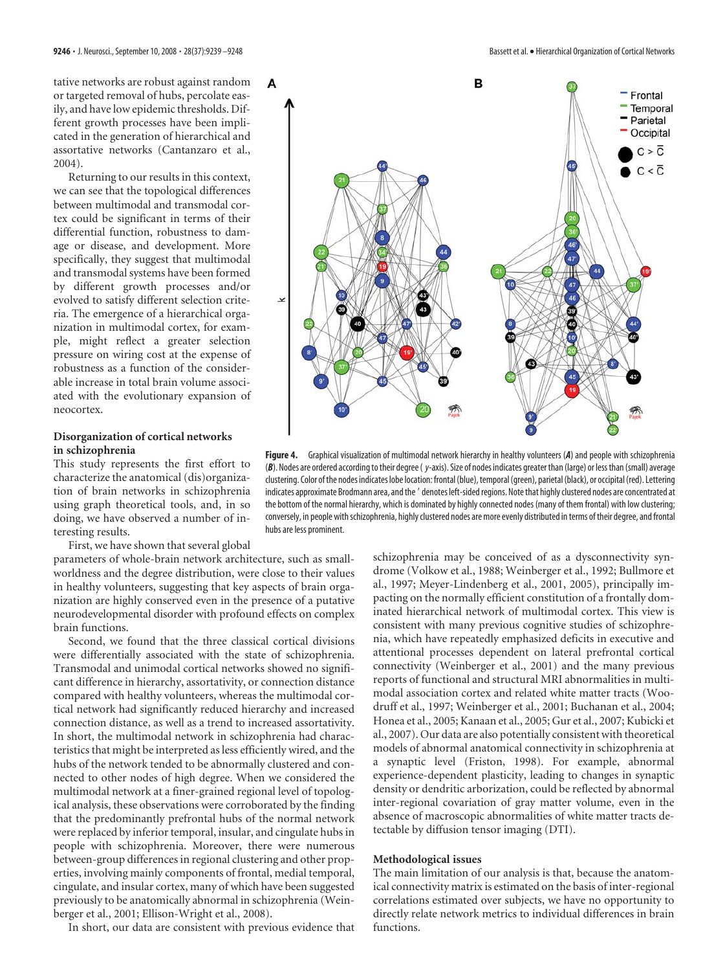tative networks are robust against random or targeted removal of hubs, percolate easily, and have low epidemic thresholds. Different growth processes have been implicated in the generation of hierarchical and assortative networks (Cantanzaro et al., 2004).

Returning to our results in this context, we can see that the topological differences between multimodal and transmodal cortex could be significant in terms of their differential function, robustness to damage or disease, and development. More specifically, they suggest that multimodal and transmodal systems have been formed by different growth processes and/or evolved to satisfy different selection criteria. The emergence of a hierarchical organization in multimodal cortex, for example, might reflect a greater selection pressure on wiring cost at the expense of robustness as a function of the considerable increase in total brain volume associated with the evolutionary expansion of neocortex.

## **Disorganization of cortical networks in schizophrenia**

This study represents the first effort to characterize the anatomical (dis)organization of brain networks in schizophrenia using graph theoretical tools, and, in so doing, we have observed a number of interesting results.

First, we have shown that several global

parameters of whole-brain network architecture, such as smallworldness and the degree distribution, were close to their values in healthy volunteers, suggesting that key aspects of brain organization are highly conserved even in the presence of a putative neurodevelopmental disorder with profound effects on complex brain functions.

Second, we found that the three classical cortical divisions were differentially associated with the state of schizophrenia. Transmodal and unimodal cortical networks showed no significant difference in hierarchy, assortativity, or connection distance compared with healthy volunteers, whereas the multimodal cortical network had significantly reduced hierarchy and increased connection distance, as well as a trend to increased assortativity. In short, the multimodal network in schizophrenia had characteristics that might be interpreted as less efficiently wired, and the hubs of the network tended to be abnormally clustered and connected to other nodes of high degree. When we considered the multimodal network at a finer-grained regional level of topological analysis, these observations were corroborated by the finding that the predominantly prefrontal hubs of the normal network were replaced by inferior temporal, insular, and cingulate hubs in people with schizophrenia. Moreover, there were numerous between-group differences in regional clustering and other properties, involving mainly components of frontal, medial temporal, cingulate, and insular cortex, many of which have been suggested previously to be anatomically abnormal in schizophrenia (Weinberger et al., 2001; Ellison-Wright et al., 2008).

In short, our data are consistent with previous evidence that



**Figure 4.** Graphical visualization of multimodal network hierarchy in healthy volunteers (*A*) and people with schizophrenia (*B*). Nodes are ordered according to their degree ( *y*-axis). Size of nodes indicates greater than (large) or less than (small) average clustering. Color of the nodes indicates lobe location: frontal (blue), temporal (green), parietal (black), or occipital (red). Lettering indicates approximate Brodmann area, and the  $^\prime$  denotes left-sided regions. Note that highly clustered nodes are concentrated at the bottom of the normal hierarchy, which is dominated by highly connected nodes (many of them frontal) with low clustering; conversely, in people with schizophrenia, highly clustered nodes are more evenly distributed in terms of their degree, and frontal hubs are less prominent.

schizophrenia may be conceived of as a dysconnectivity syndrome (Volkow et al., 1988; Weinberger et al., 1992; Bullmore et al., 1997; Meyer-Lindenberg et al., 2001, 2005), principally impacting on the normally efficient constitution of a frontally dominated hierarchical network of multimodal cortex. This view is consistent with many previous cognitive studies of schizophrenia, which have repeatedly emphasized deficits in executive and attentional processes dependent on lateral prefrontal cortical connectivity (Weinberger et al., 2001) and the many previous reports of functional and structural MRI abnormalities in multimodal association cortex and related white matter tracts (Woodruff et al., 1997; Weinberger et al., 2001; Buchanan et al., 2004; Honea et al., 2005; Kanaan et al., 2005; Gur et al., 2007; Kubicki et al., 2007). Our data are also potentially consistent with theoretical models of abnormal anatomical connectivity in schizophrenia at a synaptic level (Friston, 1998). For example, abnormal experience-dependent plasticity, leading to changes in synaptic density or dendritic arborization, could be reflected by abnormal inter-regional covariation of gray matter volume, even in the absence of macroscopic abnormalities of white matter tracts detectable by diffusion tensor imaging (DTI).

## **Methodological issues**

The main limitation of our analysis is that, because the anatomical connectivity matrix is estimated on the basis of inter-regional correlations estimated over subjects, we have no opportunity to directly relate network metrics to individual differences in brain functions.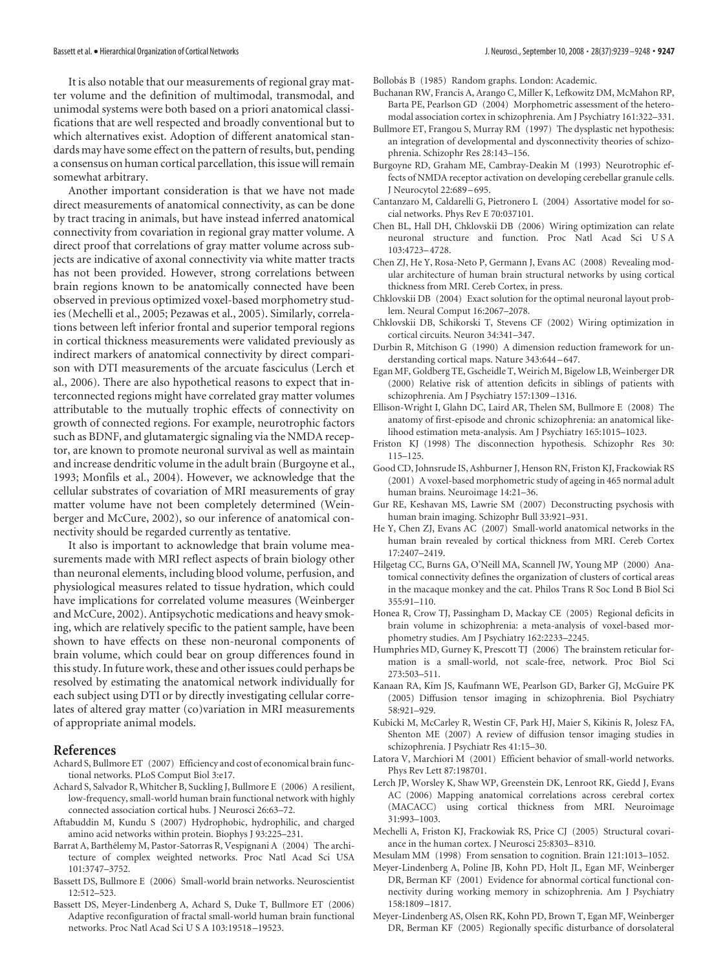It is also notable that our measurements of regional gray matter volume and the definition of multimodal, transmodal, and unimodal systems were both based on a priori anatomical classifications that are well respected and broadly conventional but to which alternatives exist. Adoption of different anatomical standards may have some effect on the pattern of results, but, pending a consensus on human cortical parcellation, this issue will remain somewhat arbitrary.

Another important consideration is that we have not made direct measurements of anatomical connectivity, as can be done by tract tracing in animals, but have instead inferred anatomical connectivity from covariation in regional gray matter volume. A direct proof that correlations of gray matter volume across subjects are indicative of axonal connectivity via white matter tracts has not been provided. However, strong correlations between brain regions known to be anatomically connected have been observed in previous optimized voxel-based morphometry studies (Mechelli et al., 2005; Pezawas et al., 2005). Similarly, correlations between left inferior frontal and superior temporal regions in cortical thickness measurements were validated previously as indirect markers of anatomical connectivity by direct comparison with DTI measurements of the arcuate fasciculus (Lerch et al., 2006). There are also hypothetical reasons to expect that interconnected regions might have correlated gray matter volumes attributable to the mutually trophic effects of connectivity on growth of connected regions. For example, neurotrophic factors such as BDNF, and glutamatergic signaling via the NMDA receptor, are known to promote neuronal survival as well as maintain and increase dendritic volume in the adult brain (Burgoyne et al., 1993; Monfils et al., 2004). However, we acknowledge that the cellular substrates of covariation of MRI measurements of gray matter volume have not been completely determined (Weinberger and McCure, 2002), so our inference of anatomical connectivity should be regarded currently as tentative.

It also is important to acknowledge that brain volume measurements made with MRI reflect aspects of brain biology other than neuronal elements, including blood volume, perfusion, and physiological measures related to tissue hydration, which could have implications for correlated volume measures (Weinberger and McCure, 2002). Antipsychotic medications and heavy smoking, which are relatively specific to the patient sample, have been shown to have effects on these non-neuronal components of brain volume, which could bear on group differences found in this study. In future work, these and other issues could perhaps be resolved by estimating the anatomical network individually for each subject using DTI or by directly investigating cellular correlates of altered gray matter (co)variation in MRI measurements of appropriate animal models.

## **References**

- Achard S, Bullmore ET (2007) Efficiency and cost of economical brain functional networks. PLoS Comput Biol 3:e17.
- Achard S, Salvador R, Whitcher B, Suckling J, Bullmore E (2006) A resilient, low-frequency, small-world human brain functional network with highly connected association cortical hubs. J Neurosci 26:63–72.
- Aftabuddin M, Kundu S (2007) Hydrophobic, hydrophilic, and charged amino acid networks within protein. Biophys J 93:225–231.
- Barrat A, Barthélemy M, Pastor-Satorras R, Vespignani A (2004) The architecture of complex weighted networks. Proc Natl Acad Sci USA 101:3747–3752.
- Bassett DS, Bullmore E (2006) Small-world brain networks. Neuroscientist 12:512–523.
- Bassett DS, Meyer-Lindenberg A, Achard S, Duke T, Bullmore ET (2006) Adaptive reconfiguration of fractal small-world human brain functional networks. Proc Natl Acad Sci U S A 103:19518 –19523.

Bollobás B (1985) Random graphs. London: Academic.

- Buchanan RW, Francis A, Arango C, Miller K, Lefkowitz DM, McMahon RP, Barta PE, Pearlson GD (2004) Morphometric assessment of the heteromodal association cortex in schizophrenia. Am J Psychiatry 161:322–331.
- Bullmore ET, Frangou S, Murray RM (1997) The dysplastic net hypothesis: an integration of developmental and dysconnectivity theories of schizophrenia. Schizophr Res 28:143–156.
- Burgoyne RD, Graham ME, Cambray-Deakin M (1993) Neurotrophic effects of NMDA receptor activation on developing cerebellar granule cells. J Neurocytol 22:689 –695.
- Cantanzaro M, Caldarelli G, Pietronero L (2004) Assortative model for social networks. Phys Rev E 70:037101.
- Chen BL, Hall DH, Chklovskii DB (2006) Wiring optimization can relate neuronal structure and function. Proc Natl Acad Sci U S A 103:4723–4728.
- Chen ZJ, He Y, Rosa-Neto P, Germann J, Evans AC (2008) Revealing modular architecture of human brain structural networks by using cortical thickness from MRI. Cereb Cortex, in press.
- Chklovskii DB (2004) Exact solution for the optimal neuronal layout problem. Neural Comput 16:2067–2078.
- Chklovskii DB, Schikorski T, Stevens CF (2002) Wiring optimization in cortical circuits. Neuron 34:341–347.
- Durbin R, Mitchison G (1990) A dimension reduction framework for understanding cortical maps. Nature 343:644 –647.
- Egan MF, Goldberg TE, Gscheidle T, Weirich M, Bigelow LB, Weinberger DR (2000) Relative risk of attention deficits in siblings of patients with schizophrenia. Am J Psychiatry 157:1309 –1316.
- Ellison-Wright I, Glahn DC, Laird AR, Thelen SM, Bullmore E (2008) The anatomy of first-episode and chronic schizophrenia: an anatomical likelihood estimation meta-analysis. Am J Psychiatry 165:1015–1023.
- Friston KJ (1998) The disconnection hypothesis. Schizophr Res 30: 115–125.
- Good CD, Johnsrude IS, Ashburner J, Henson RN, Friston KJ, Frackowiak RS (2001) A voxel-based morphometric study of ageing in 465 normal adult human brains. Neuroimage 14:21–36.
- Gur RE, Keshavan MS, Lawrie SM (2007) Deconstructing psychosis with human brain imaging. Schizophr Bull 33:921–931.
- He Y, Chen ZJ, Evans AC (2007) Small-world anatomical networks in the human brain revealed by cortical thickness from MRI. Cereb Cortex 17:2407–2419.
- Hilgetag CC, Burns GA, O'Neill MA, Scannell JW, Young MP (2000) Anatomical connectivity defines the organization of clusters of cortical areas in the macaque monkey and the cat. Philos Trans R Soc Lond B Biol Sci 355:91–110.
- Honea R, Crow TJ, Passingham D, Mackay CE (2005) Regional deficits in brain volume in schizophrenia: a meta-analysis of voxel-based morphometry studies. Am J Psychiatry 162:2233–2245.
- Humphries MD, Gurney K, Prescott TJ (2006) The brainstem reticular formation is a small-world, not scale-free, network. Proc Biol Sci 273:503–511.
- Kanaan RA, Kim JS, Kaufmann WE, Pearlson GD, Barker GJ, McGuire PK (2005) Diffusion tensor imaging in schizophrenia. Biol Psychiatry 58:921–929.
- Kubicki M, McCarley R, Westin CF, Park HJ, Maier S, Kikinis R, Jolesz FA, Shenton ME (2007) A review of diffusion tensor imaging studies in schizophrenia. J Psychiatr Res 41:15–30.
- Latora V, Marchiori M (2001) Efficient behavior of small-world networks. Phys Rev Lett 87:198701.
- Lerch JP, Worsley K, Shaw WP, Greenstein DK, Lenroot RK, Giedd J, Evans AC (2006) Mapping anatomical correlations across cerebral cortex (MACACC) using cortical thickness from MRI. Neuroimage 31:993–1003.
- Mechelli A, Friston KJ, Frackowiak RS, Price CJ (2005) Structural covariance in the human cortex. J Neurosci 25:8303–8310.
- Mesulam MM (1998) From sensation to cognition. Brain 121:1013–1052.
- Meyer-Lindenberg A, Poline JB, Kohn PD, Holt JL, Egan MF, Weinberger DR, Berman KF (2001) Evidence for abnormal cortical functional connectivity during working memory in schizophrenia. Am J Psychiatry 158:1809 –1817.
- Meyer-Lindenberg AS, Olsen RK, Kohn PD, Brown T, Egan MF, Weinberger DR, Berman KF (2005) Regionally specific disturbance of dorsolateral